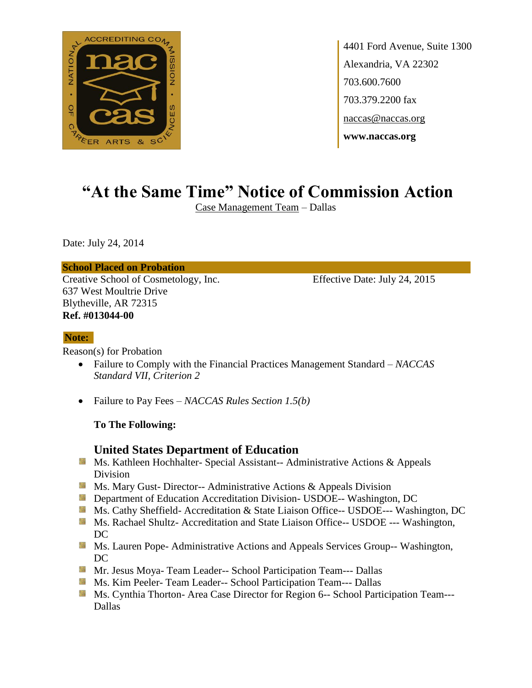

4401 Ford Avenue, Suite 1300 Alexandria, VA 22302 703.600.7600 703.379.2200 fax naccas@naccas.org **www.naccas.org**

# **"At the Same Time" Notice of Commission Action**

Case Management Team – Dallas

Date: July 24, 2014

#### **School Placed on Probation**

Creative School of Cosmetology, Inc. Effective Date: July 24, 2015 637 West Moultrie Drive Blytheville, AR 72315 **Ref. #013044-00**

#### **Note:**

Reason(s) for Probation

- Failure to Comply with the Financial Practices Management Standard *NACCAS Standard VII, Criterion 2*
- Failure to Pay Fees *NACCAS Rules Section 1.5(b)*

#### **To The Following:**

### **United States Department of Education**

- **Ms. Kathleen Hochhalter- Special Assistant-- Administrative Actions & Appeals** Division
- **Ms. Mary Gust- Director-- Administrative Actions & Appeals Division**
- **Department of Education Accreditation Division- USDOE-- Washington, DC**
- Ms. Cathy Sheffield- Accreditation & State Liaison Office-- USDOE--- Washington, DC
- **Ms. Rachael Shultz- Accreditation and State Liaison Office-- USDOE --- Washington,** DC
- **MS. Lauren Pope- Administrative Actions and Appeals Services Group-- Washington,** DC
- **Mr. Jesus Moya- Team Leader-- School Participation Team--- Dallas**
- **MS. Kim Peeler-Team Leader-- School Participation Team--- Dallas**
- **Ms. Cynthia Thorton- Area Case Director for Region 6-- School Participation Team----**Dallas